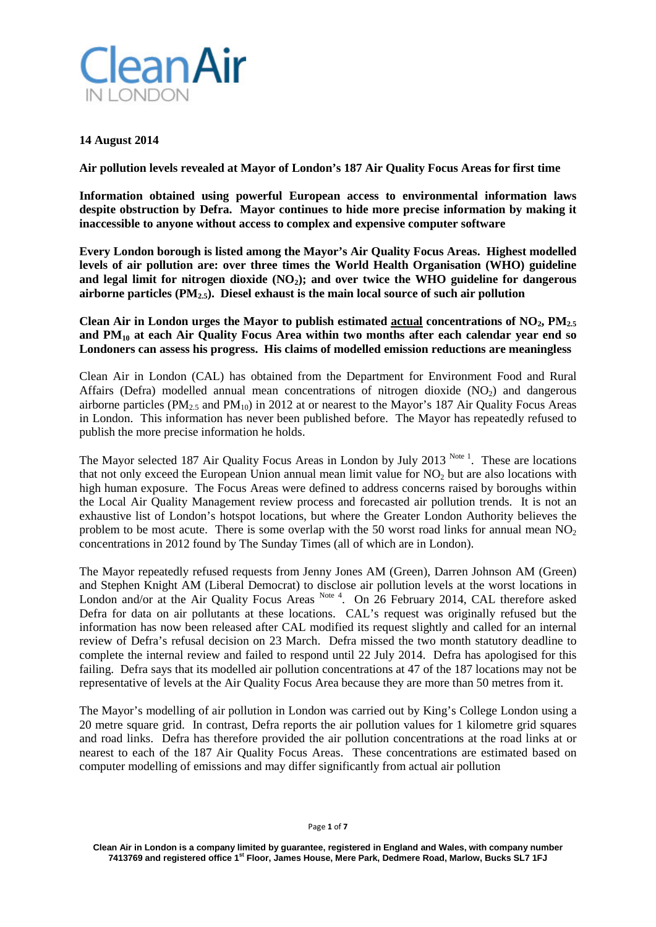

## **14 August 2014**

**Air pollution levels revealed at Mayor of London's 187 Air Quality Focus Areas for first time**

**Information obtained using powerful European access to environmental information laws despite obstruction by Defra. Mayor continues to hide more precise information by making it inaccessible to anyone without access to complex and expensive computer software**

**Every London borough is listed among the Mayor's Air Quality Focus Areas. Highest modelled levels of air pollution are: over three times the World Health Organisation (WHO) guideline and legal limit for nitrogen dioxide (NO2); and over twice the WHO guideline for dangerous airborne particles (PM2.5). Diesel exhaust is the main local source of such air pollution**

Clean Air in London urges the Mayor to publish estimated actual concentrations of  $NO<sub>2</sub>$ ,  $PM<sub>2.5</sub>$ **and PM10 at each Air Quality Focus Area within two months after each calendar year end so Londoners can assess his progress. His claims of modelled emission reductions are meaningless**

Clean Air in London (CAL) has obtained from the Department for Environment Food and Rural Affairs (Defra) modelled annual mean concentrations of nitrogen dioxide  $(NO<sub>2</sub>)$  and dangerous airborne particles (PM<sub>2.5</sub> and PM<sub>10</sub>) in 2012 at or nearest to the Mayor's 187 Air Quality Focus Areas in London. This information has never been published before. The Mayor has repeatedly refused to publish the more precise information he holds.

The Mayor selected 187 Air Quality Focus Areas in London by July 2013<sup>Note 1</sup>. These are locations that not only exceed the European Union annual mean limit value for  $NO<sub>2</sub>$  but are also locations with high human exposure. The Focus Areas were defined to address concerns raised by boroughs within the Local Air Quality Management review process and forecasted air pollution trends. It is not an exhaustive list of London's hotspot locations, but where the Greater London Authority believes the problem to be most acute. There is some overlap with the 50 worst road links for annual mean  $NO<sub>2</sub>$ concentrations in 2012 found by The Sunday Times (all of which are in London).

The Mayor repeatedly refused requests from Jenny Jones AM (Green), Darren Johnson AM (Green) and Stephen Knight AM (Liberal Democrat) to disclose air pollution levels at the worst locations in London and/or at the Air Quality Focus Areas Note 4. On 26 February 2014, CAL therefore asked Defra for data on air pollutants at these locations. CAL's request was originally refused but the information has now been released after CAL modified its request slightly and called for an internal review of Defra's refusal decision on 23 March. Defra missed the two month statutory deadline to complete the internal review and failed to respond until 22 July 2014. Defra has apologised for this failing. Defra says that its modelled air pollution concentrations at 47 of the 187 locations may not be representative of levels at the Air Quality Focus Area because they are more than 50 metres from it.

The Mayor's modelling of air pollution in London was carried out by King's College London using a 20 metre square grid. In contrast, Defra reports the air pollution values for 1 kilometre grid squares and road links. Defra has therefore provided the air pollution concentrations at the road links at or nearest to each of the 187 Air Quality Focus Areas. These concentrations are estimated based on computer modelling of emissions and may differ significantly from actual air pollution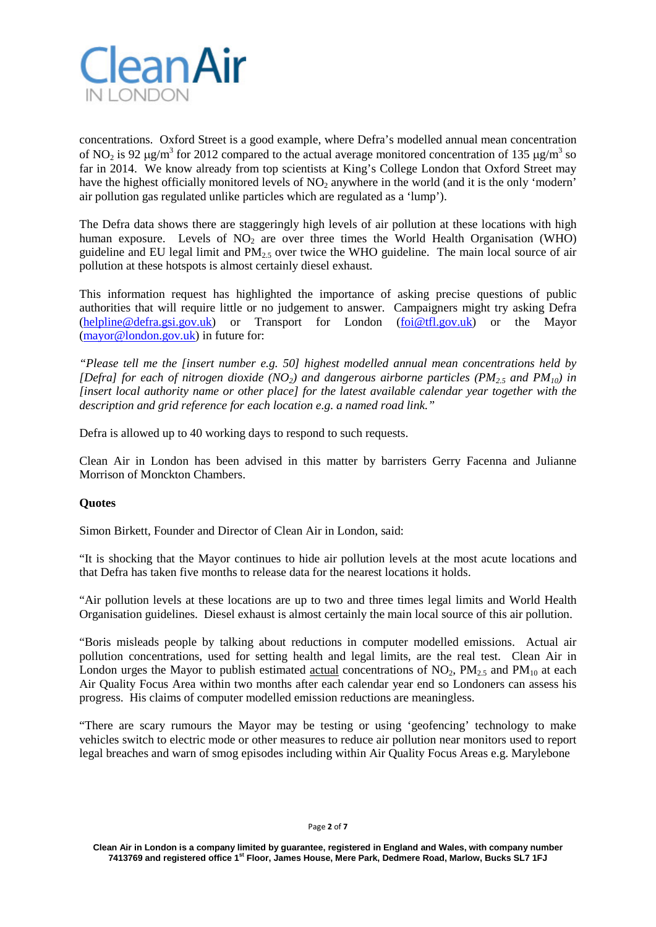

concentrations. Oxford Street is a good example, where Defra's modelled annual mean concentration of NO<sub>2</sub> is 92  $\mu$ g/m<sup>3</sup> for 2012 compared to the actual average monitored concentration of 135  $\mu$ g/m<sup>3</sup> so far in 2014. We know already from top scientists at King's College London that Oxford Street may have the highest officially monitored levels of NO<sub>2</sub> anywhere in the world (and it is the only 'modern' air pollution gas regulated unlike particles which are regulated as a 'lump').

The Defra data shows there are staggeringly high levels of air pollution at these locations with high human exposure. Levels of  $NO<sub>2</sub>$  are over three times the World Health Organisation (WHO) guideline and EU legal limit and  $PM<sub>2.5</sub>$  over twice the WHO guideline. The main local source of air pollution at these hotspots is almost certainly diesel exhaust.

This information request has highlighted the importance of asking precise questions of public authorities that will require little or no judgement to answer. Campaigners might try asking Defra [\(helpline@defra.gsi.gov.uk\)](mailto:helpline@defra.gsi.gov.uk) or Transport for London [\(foi@tfl.gov.uk\)](mailto:foi@tfl.gov.uk) or the Mayor [\(mayor@london.gov.uk\)](mailto:mayor@london.gov.uk) in future for:

*"Please tell me the [insert number e.g. 50] highest modelled annual mean concentrations held by [Defra]* for each of nitrogen dioxide (NO<sub>2</sub>) and dangerous airborne particles (PM<sub>2.5</sub> and PM<sub>10</sub>) in *[insert local authority name or other place] for the latest available calendar year together with the description and grid reference for each location e.g. a named road link."*

Defra is allowed up to 40 working days to respond to such requests.

Clean Air in London has been advised in this matter by barristers Gerry Facenna and Julianne Morrison of Monckton Chambers.

## **Quotes**

Simon Birkett, Founder and Director of Clean Air in London, said:

"It is shocking that the Mayor continues to hide air pollution levels at the most acute locations and that Defra has taken five months to release data for the nearest locations it holds.

"Air pollution levels at these locations are up to two and three times legal limits and World Health Organisation guidelines. Diesel exhaust is almost certainly the main local source of this air pollution.

"Boris misleads people by talking about reductions in computer modelled emissions. Actual air pollution concentrations, used for setting health and legal limits, are the real test. Clean Air in London urges the Mayor to publish estimated actual concentrations of  $NO<sub>2</sub>$ ,  $PM<sub>2.5</sub>$  and  $PM<sub>10</sub>$  at each Air Quality Focus Area within two months after each calendar year end so Londoners can assess his progress. His claims of computer modelled emission reductions are meaningless.

"There are scary rumours the Mayor may be testing or using 'geofencing' technology to make vehicles switch to electric mode or other measures to reduce air pollution near monitors used to report legal breaches and warn of smog episodes including within Air Quality Focus Areas e.g. Marylebone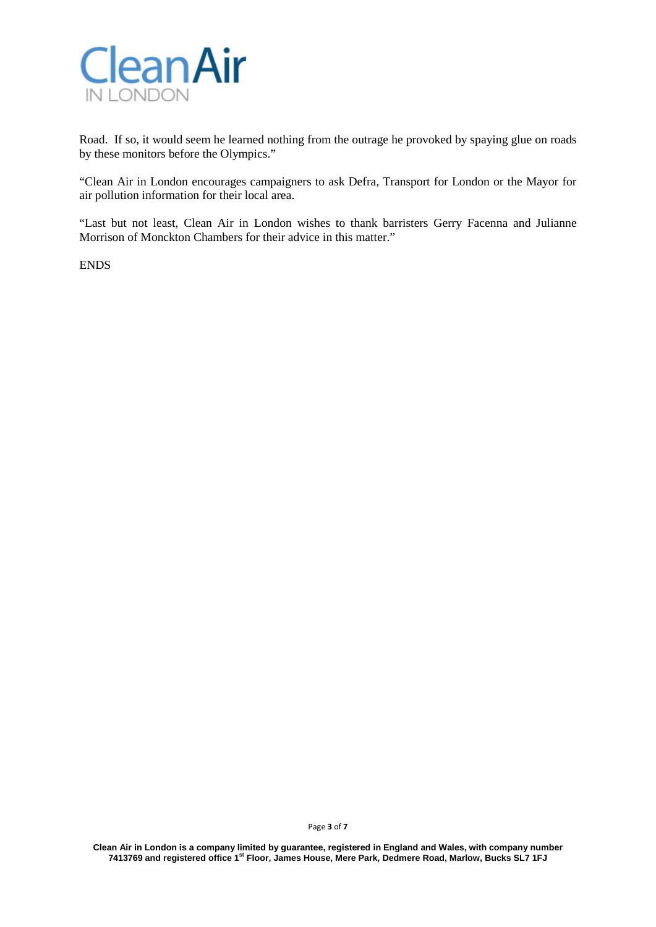

Road. If so, it would seem he learned nothing from the outrage he provoked by spaying glue on roads by these monitors before the Olympics."

"Clean Air in London encourages campaigners to ask Defra, Transport for London or the Mayor for air pollution information for their local area.

"Last but not least, Clean Air in London wishes to thank barristers Gerry Facenna and Julianne Morrison of Monckton Chambers for their advice in this matter."

ENDS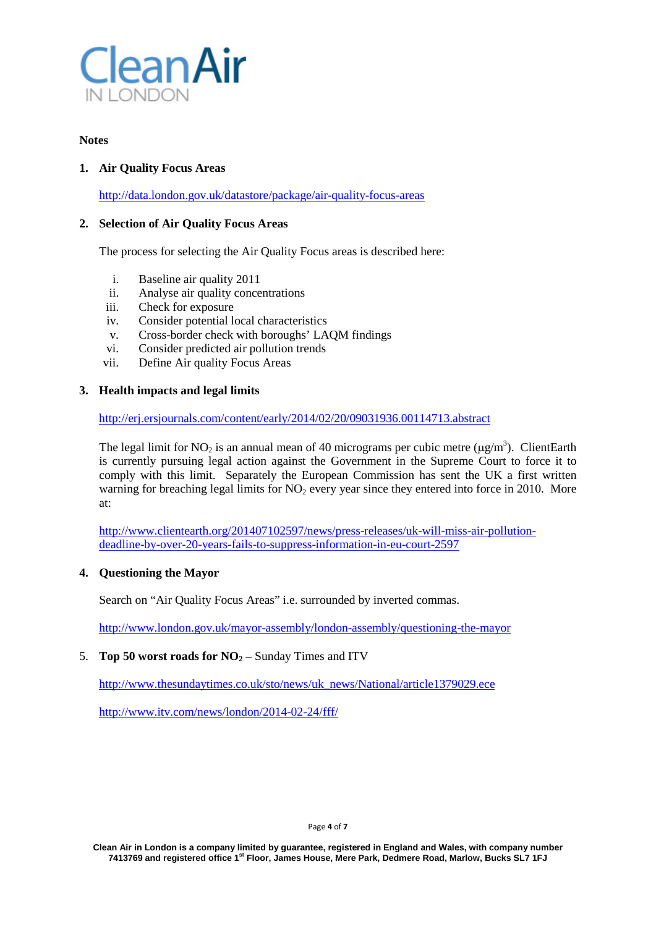

## **Notes**

## **1. Air Quality Focus Areas**

<http://data.london.gov.uk/datastore/package/air-quality-focus-areas>

## **2. Selection of Air Quality Focus Areas**

The process for selecting the Air Quality Focus areas is described here:

- i. Baseline air quality 2011
- ii. Analyse air quality concentrations
- iii. Check for exposure
- iv. Consider potential local characteristics
- v. Cross-border check with boroughs' LAQM findings
- vi. Consider predicted air pollution trends
- vii. Define Air quality Focus Areas

### **3. Health impacts and legal limits**

### <http://erj.ersjournals.com/content/early/2014/02/20/09031936.00114713.abstract>

The legal limit for NO<sub>2</sub> is an annual mean of 40 micrograms per cubic metre ( $\mu$ g/m<sup>3</sup>). ClientEarth is currently pursuing legal action against the Government in the Supreme Court to force it to comply with this limit. Separately the European Commission has sent the UK a first written warning for breaching legal limits for  $NO<sub>2</sub>$  every year since they entered into force in 2010. More at:

[http://www.clientearth.org/201407102597/news/press-releases/uk-will-miss-air-pollution](http://www.clientearth.org/201407102597/news/press-releases/uk-will-miss-air-pollution-deadline-by-over-20-years-fails-to-suppress-information-in-eu-court-2597)[deadline-by-over-20-years-fails-to-suppress-information-in-eu-court-2597](http://www.clientearth.org/201407102597/news/press-releases/uk-will-miss-air-pollution-deadline-by-over-20-years-fails-to-suppress-information-in-eu-court-2597)

## **4. Questioning the Mayor**

Search on "Air Quality Focus Areas" i.e. surrounded by inverted commas.

<http://www.london.gov.uk/mayor-assembly/london-assembly/questioning-the-mayor>

# 5. **Top 50 worst roads for**  $NO<sub>2</sub> -$  **Sunday Times and ITV**

[http://www.thesundaytimes.co.uk/sto/news/uk\\_news/National/article1379029.ece](http://www.thesundaytimes.co.uk/sto/news/uk_news/National/article1379029.ece)

<http://www.itv.com/news/london/2014-02-24/fff/>

#### Page **4** of **7**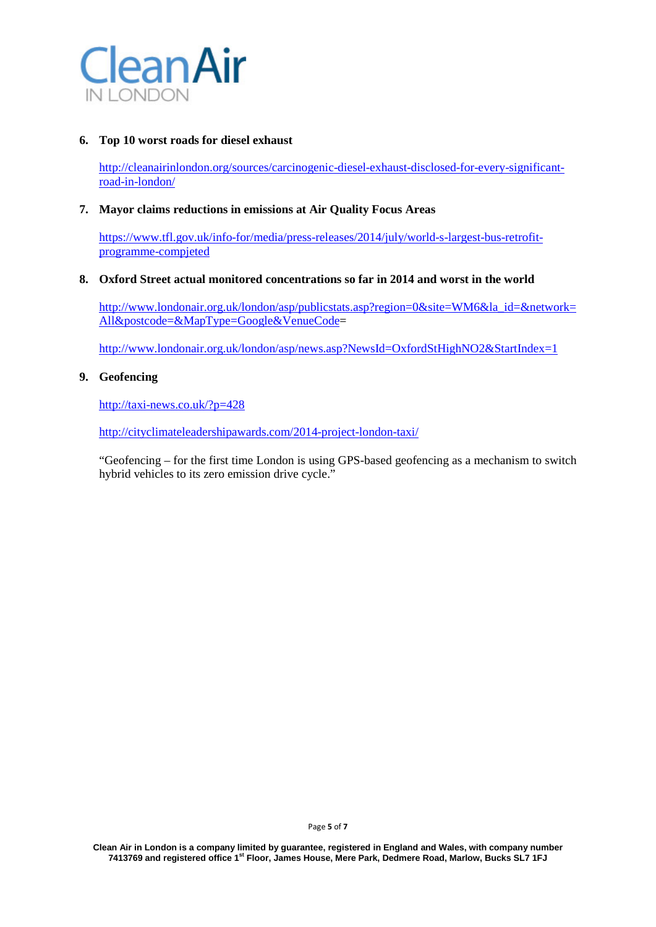

# **6. Top 10 worst roads for diesel exhaust**

[http://cleanairinlondon.org/sources/carcinogenic-diesel-exhaust-disclosed-for-every-significant](http://cleanairinlondon.org/sources/carcinogenic-diesel-exhaust-disclosed-for-every-significant-road-in-london/)[road-in-london/](http://cleanairinlondon.org/sources/carcinogenic-diesel-exhaust-disclosed-for-every-significant-road-in-london/)

## **7. Mayor claims reductions in emissions at Air Quality Focus Areas**

[https://www.tfl.gov.uk/info-for/media/press-releases/2014/july/world-s-largest-bus-retrofit](https://www.tfl.gov.uk/info-for/media/press-releases/2014/july/world-s-largest-bus-retrofit-programme-compjeted)[programme-compjeted](https://www.tfl.gov.uk/info-for/media/press-releases/2014/july/world-s-largest-bus-retrofit-programme-compjeted)

#### **8. Oxford Street actual monitored concentrations so far in 2014 and worst in the world**

[http://www.londonair.org.uk/london/asp/publicstats.asp?region=0&site=WM6&la\\_id=&network=](http://www.londonair.org.uk/london/asp/publicstats.asp?region=0&site=WM6&la_id=&network=All&postcode=&MapType=Google&VenueCode) [All&postcode=&MapType=Google&VenueCode=](http://www.londonair.org.uk/london/asp/publicstats.asp?region=0&site=WM6&la_id=&network=All&postcode=&MapType=Google&VenueCode)

<http://www.londonair.org.uk/london/asp/news.asp?NewsId=OxfordStHighNO2&StartIndex=1>

### **9. Geofencing**

<http://taxi-news.co.uk/?p=428>

<http://cityclimateleadershipawards.com/2014-project-london-taxi/>

"Geofencing – for the first time London is using GPS-based geofencing as a mechanism to switch hybrid vehicles to its zero emission drive cycle."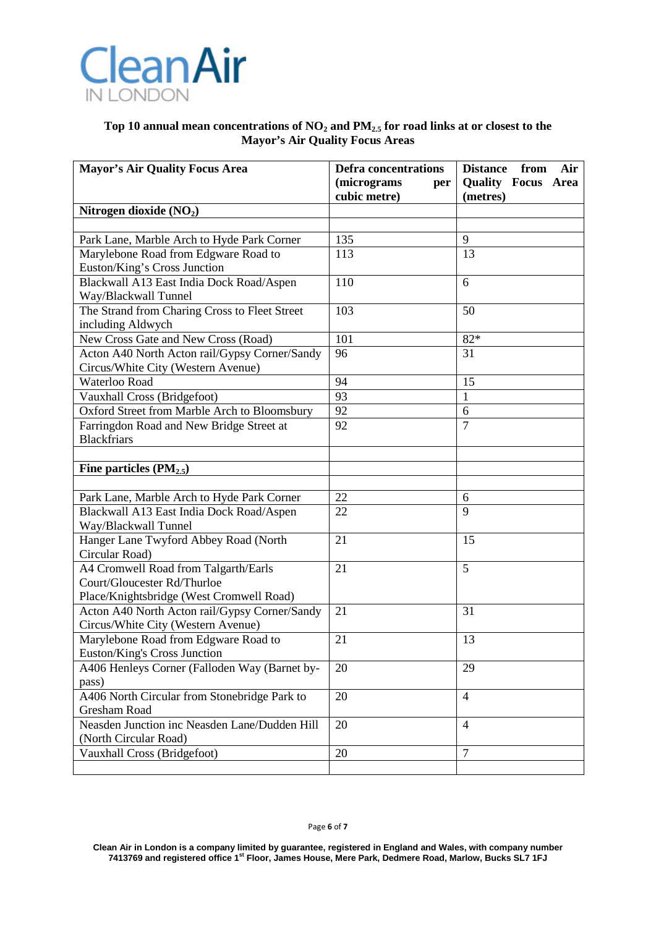

# Top 10 annual mean concentrations of NO<sub>2</sub> and PM<sub>2.5</sub> for road links at or closest to the **Mayor's Air Quality Focus Areas**

| <b>Mayor's Air Quality Focus Area</b>                               | <b>Defra concentrations</b>        | <b>Distance</b><br>from<br>Air        |
|---------------------------------------------------------------------|------------------------------------|---------------------------------------|
|                                                                     | (micrograms<br>per<br>cubic metre) | <b>Quality Focus Area</b><br>(metres) |
| Nitrogen dioxide $(NO2)$                                            |                                    |                                       |
|                                                                     |                                    |                                       |
| Park Lane, Marble Arch to Hyde Park Corner                          | 135                                | 9                                     |
| Marylebone Road from Edgware Road to                                | 113                                | 13                                    |
| Euston/King's Cross Junction                                        |                                    |                                       |
| Blackwall A13 East India Dock Road/Aspen                            | 110                                | 6                                     |
| Way/Blackwall Tunnel                                                |                                    |                                       |
| The Strand from Charing Cross to Fleet Street                       | 103                                | 50                                    |
| including Aldwych                                                   |                                    |                                       |
| New Cross Gate and New Cross (Road)                                 | 101                                | $82*$                                 |
| Acton A40 North Acton rail/Gypsy Corner/Sandy                       | 96                                 | 31                                    |
| Circus/White City (Western Avenue)                                  |                                    |                                       |
| Waterloo Road                                                       | 94                                 | 15                                    |
| Vauxhall Cross (Bridgefoot)                                         | 93                                 | 1                                     |
| Oxford Street from Marble Arch to Bloomsbury                        | 92                                 | 6                                     |
| Farringdon Road and New Bridge Street at                            | 92                                 | $\overline{7}$                        |
| <b>Blackfriars</b>                                                  |                                    |                                       |
|                                                                     |                                    |                                       |
| Fine particles $(PM_{2.5})$                                         |                                    |                                       |
|                                                                     |                                    |                                       |
| Park Lane, Marble Arch to Hyde Park Corner                          | 22                                 | 6                                     |
| Blackwall A13 East India Dock Road/Aspen                            | 22                                 | $\mathbf Q$                           |
| Way/Blackwall Tunnel                                                |                                    |                                       |
| Hanger Lane Twyford Abbey Road (North                               | 21                                 | 15                                    |
| Circular Road)                                                      |                                    | 5                                     |
| A4 Cromwell Road from Talgarth/Earls<br>Court/Gloucester Rd/Thurloe | 21                                 |                                       |
| Place/Knightsbridge (West Cromwell Road)                            |                                    |                                       |
| Acton A40 North Acton rail/Gypsy Corner/Sandy                       | 21                                 | 31                                    |
| Circus/White City (Western Avenue)                                  |                                    |                                       |
| Marylebone Road from Edgware Road to                                | 21                                 | 13                                    |
| <b>Euston/King's Cross Junction</b>                                 |                                    |                                       |
| A406 Henleys Corner (Falloden Way (Barnet by-                       | 20                                 | 29                                    |
| pass)                                                               |                                    |                                       |
| A406 North Circular from Stonebridge Park to                        | 20                                 | 4                                     |
| Gresham Road                                                        |                                    |                                       |
| Neasden Junction inc Neasden Lane/Dudden Hill                       | 20                                 | $\overline{4}$                        |
| (North Circular Road)                                               |                                    |                                       |
| Vauxhall Cross (Bridgefoot)                                         | 20                                 | $\tau$                                |
|                                                                     |                                    |                                       |